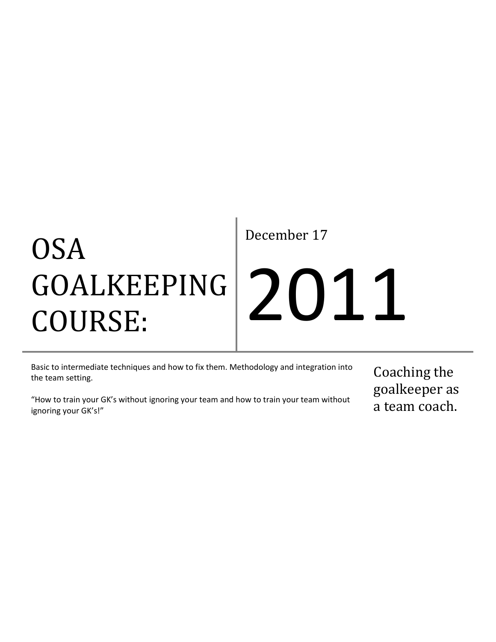## OSA GOALKEEPING COURSE:

December 17

# 2011

Basic to intermediate techniques and how to fix them. Methodology and integration into the team setting.

"How to train your GK's without ignoring your team and how to train your team without ignoring your GK's!"

Coaching the goalkeeper as a team coach.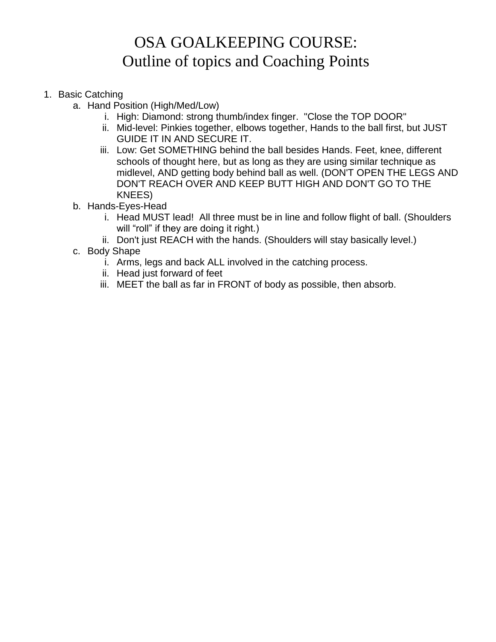### OSA GOALKEEPING COURSE: Outline of topics and Coaching Points

- 1. Basic Catching
	- a. Hand Position (High/Med/Low)
		- i. High: Diamond: strong thumb/index finger. "Close the TOP DOOR"
		- ii. Mid-level: Pinkies together, elbows together, Hands to the ball first, but JUST GUIDE IT IN AND SECURE IT.
		- iii. Low: Get SOMETHING behind the ball besides Hands. Feet, knee, different schools of thought here, but as long as they are using similar technique as midlevel, AND getting body behind ball as well. (DON'T OPEN THE LEGS AND DON'T REACH OVER AND KEEP BUTT HIGH AND DON'T GO TO THE KNEES)
	- b. Hands-Eyes-Head
		- i. Head MUST lead! All three must be in line and follow flight of ball. (Shoulders will "roll" if they are doing it right.)
		- ii. Don't just REACH with the hands. (Shoulders will stay basically level.)
	- c. Body Shape
		- i. Arms, legs and back ALL involved in the catching process.
		- ii. Head just forward of feet
		- iii. MEET the ball as far in FRONT of body as possible, then absorb.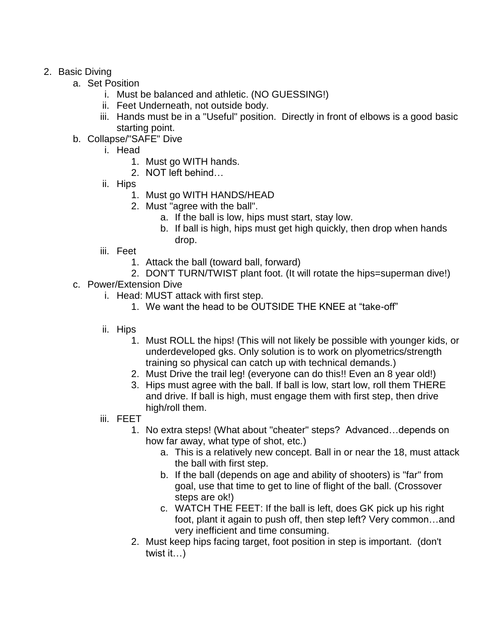#### 2. Basic Diving

- a. Set Position
	- i. Must be balanced and athletic. (NO GUESSING!)
	- ii. Feet Underneath, not outside body.
	- iii. Hands must be in a "Useful" position. Directly in front of elbows is a good basic starting point.
- b. Collapse/"SAFE" Dive
	- i. Head
		- 1. Must go WITH hands.
		- 2. NOT left behind…
	- ii. Hips
		- 1. Must go WITH HANDS/HEAD
		- 2. Must "agree with the ball".
			- a. If the ball is low, hips must start, stay low.
			- b. If ball is high, hips must get high quickly, then drop when hands drop.
	- iii. Feet
		- 1. Attack the ball (toward ball, forward)
		- 2. DON'T TURN/TWIST plant foot. (It will rotate the hips=superman dive!)
- c. Power/Extension Dive
	- i. Head: MUST attack with first step.
		- 1. We want the head to be OUTSIDE THE KNEE at "take-off"
	- ii. Hips
		- 1. Must ROLL the hips! (This will not likely be possible with younger kids, or underdeveloped gks. Only solution is to work on plyometrics/strength training so physical can catch up with technical demands.)
		- 2. Must Drive the trail leg! (everyone can do this!! Even an 8 year old!)
		- 3. Hips must agree with the ball. If ball is low, start low, roll them THERE and drive. If ball is high, must engage them with first step, then drive high/roll them.
	- iii. FEET
		- 1. No extra steps! (What about "cheater" steps? Advanced…depends on how far away, what type of shot, etc.)
			- a. This is a relatively new concept. Ball in or near the 18, must attack the ball with first step.
			- b. If the ball (depends on age and ability of shooters) is "far" from goal, use that time to get to line of flight of the ball. (Crossover steps are ok!)
			- c. WATCH THE FEET: If the ball is left, does GK pick up his right foot, plant it again to push off, then step left? Very common…and very inefficient and time consuming.
		- 2. Must keep hips facing target, foot position in step is important. (don't twist it…)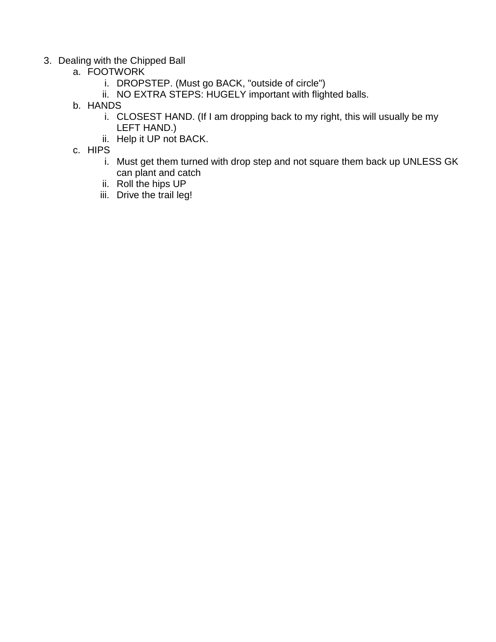- 3. Dealing with the Chipped Ball
	- a. FOOTWORK
		- i. DROPSTEP. (Must go BACK, "outside of circle")
		- ii. NO EXTRA STEPS: HUGELY important with flighted balls.
	- b. HANDS
		- i. CLOSEST HAND. (If I am dropping back to my right, this will usually be my LEFT HAND.)
		- ii. Help it UP not BACK.
	- c. HIPS
		- i. Must get them turned with drop step and not square them back up UNLESS GK can plant and catch
		- ii. Roll the hips UP
		- iii. Drive the trail leg!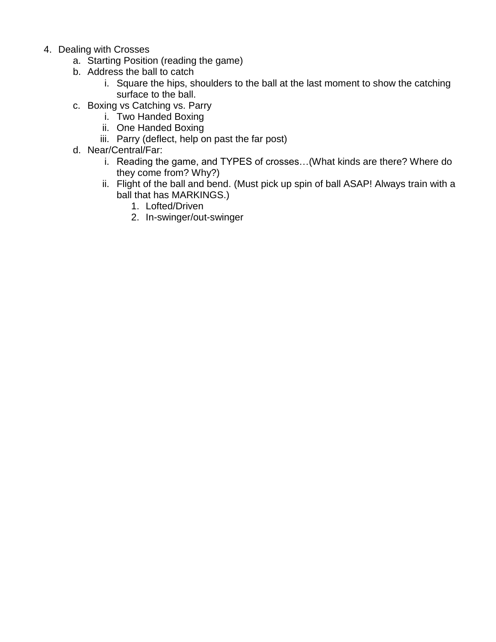- 4. Dealing with Crosses
	- a. Starting Position (reading the game)
	- b. Address the ball to catch
		- i. Square the hips, shoulders to the ball at the last moment to show the catching surface to the ball.
	- c. Boxing vs Catching vs. Parry
		- i. Two Handed Boxing
		- ii. One Handed Boxing
		- iii. Parry (deflect, help on past the far post)
	- d. Near/Central/Far:
		- i. Reading the game, and TYPES of crosses…(What kinds are there? Where do they come from? Why?)
		- ii. Flight of the ball and bend. (Must pick up spin of ball ASAP! Always train with a ball that has MARKINGS.)
			- 1. Lofted/Driven
			- 2. In-swinger/out-swinger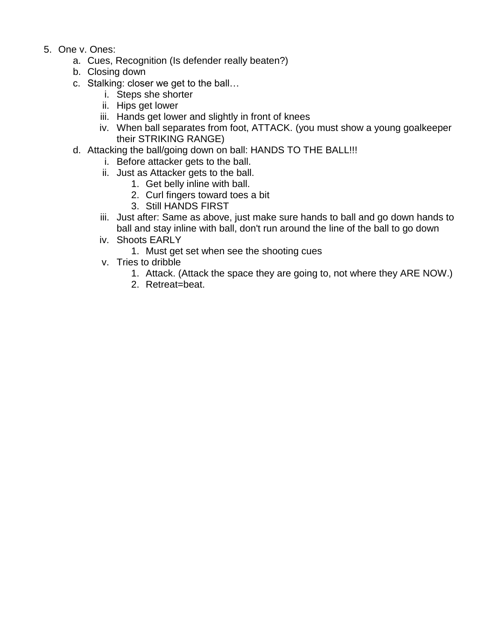- 5. One v. Ones:
	- a. Cues, Recognition (Is defender really beaten?)
	- b. Closing down
	- c. Stalking: closer we get to the ball…
		- i. Steps she shorter
		- ii. Hips get lower
		- iii. Hands get lower and slightly in front of knees
		- iv. When ball separates from foot, ATTACK. (you must show a young goalkeeper their STRIKING RANGE)
	- d. Attacking the ball/going down on ball: HANDS TO THE BALL!!!
		- i. Before attacker gets to the ball.
		- ii. Just as Attacker gets to the ball.
			- 1. Get belly inline with ball.
			- 2. Curl fingers toward toes a bit
			- 3. Still HANDS FIRST
		- iii. Just after: Same as above, just make sure hands to ball and go down hands to ball and stay inline with ball, don't run around the line of the ball to go down
		- iv. Shoots EARLY
			- 1. Must get set when see the shooting cues
		- v. Tries to dribble
			- 1. Attack. (Attack the space they are going to, not where they ARE NOW.)
			- 2. Retreat=beat.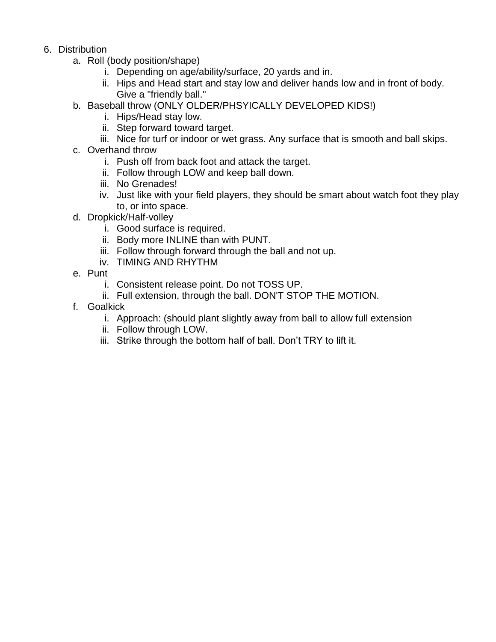- 6. Distribution
	- a. Roll (body position/shape)
		- i. Depending on age/ability/surface, 20 yards and in.
		- ii. Hips and Head start and stay low and deliver hands low and in front of body. Give a "friendly ball."
	- b. Baseball throw (ONLY OLDER/PHSYICALLY DEVELOPED KIDS!)
		- i. Hips/Head stay low.
		- ii. Step forward toward target.
		- iii. Nice for turf or indoor or wet grass. Any surface that is smooth and ball skips.
	- c. Overhand throw
		- i. Push off from back foot and attack the target.
		- ii. Follow through LOW and keep ball down.
		- iii. No Grenades!
		- iv. Just like with your field players, they should be smart about watch foot they play to, or into space.
	- d. Dropkick/Half-volley
		- i. Good surface is required.
		- ii. Body more INLINE than with PUNT.
		- iii. Follow through forward through the ball and not up.
		- iv. TIMING AND RHYTHM
	- e. Punt
		- i. Consistent release point. Do not TOSS UP.
		- ii. Full extension, through the ball. DON'T STOP THE MOTION.
	- f. Goalkick
		- i. Approach: (should plant slightly away from ball to allow full extension
		- ii. Follow through LOW.
		- iii. Strike through the bottom half of ball. Don't TRY to lift it.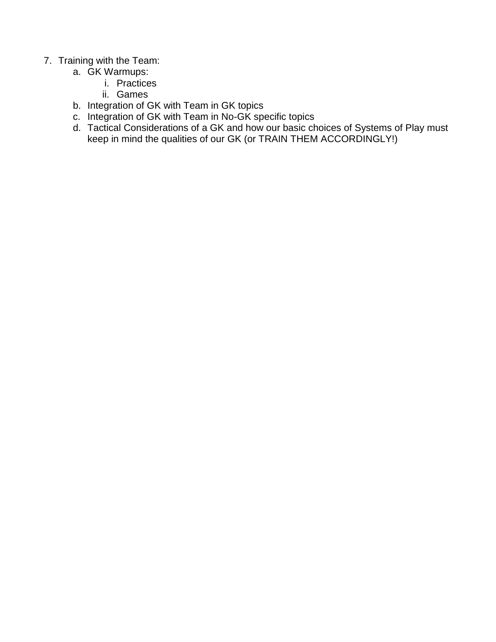#### 7. Training with the Team:

- a. GK Warmups:
	- i. Practices
	- ii. Games
- b. Integration of GK with Team in GK topics
- c. Integration of GK with Team in No-GK specific topics
- d. Tactical Considerations of a GK and how our basic choices of Systems of Play must keep in mind the qualities of our GK (or TRAIN THEM ACCORDINGLY!)